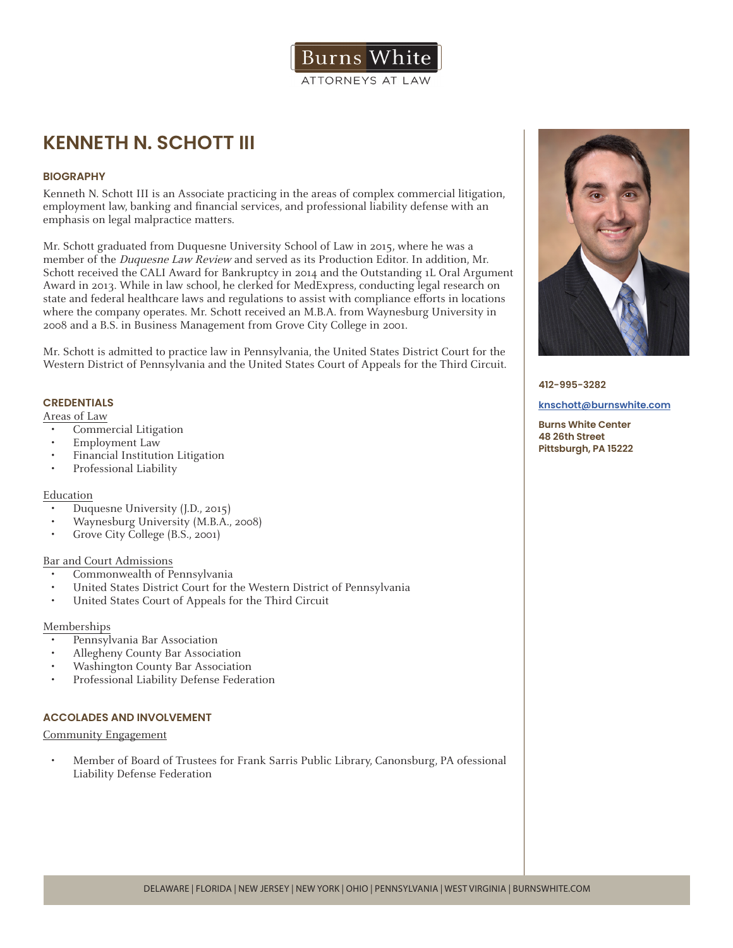

# **KENNETH N. SCHOTT III**

## **BIOGRAPHY**

Kenneth N. Schott III is an Associate practicing in the areas of complex commercial litigation, employment law, banking and financial services, and professional liability defense with an emphasis on legal malpractice matters.

Mr. Schott graduated from Duquesne University School of Law in 2015, where he was a member of the Duquesne Law Review and served as its Production Editor. In addition, Mr. Schott received the CALI Award for Bankruptcy in 2014 and the Outstanding 1L Oral Argument Award in 2013. While in law school, he clerked for MedExpress, conducting legal research on state and federal healthcare laws and regulations to assist with compliance efforts in locations where the company operates. Mr. Schott received an M.B.A. from Waynesburg University in 2008 and a B.S. in Business Management from Grove City College in 2001.

Mr. Schott is admitted to practice law in Pennsylvania, the United States District Court for the Western District of Pennsylvania and the United States Court of Appeals for the Third Circuit.

# **CREDENTIALS**

Areas of Law

- Commercial Litigation
- Employment Law
- Financial Institution Litigation
- Professional Liability

### Education

- Duquesne University (J.D., 2015)
- Waynesburg University (M.B.A., 2008)
- Grove City College (B.S., 2001)

### Bar and Court Admissions

- Commonwealth of Pennsylvania
- United States District Court for the Western District of Pennsylvania
- United States Court of Appeals for the Third Circuit

### Memberships

- Pennsylvania Bar Association
- Allegheny County Bar Association
- Washington County Bar Association
- Professional Liability Defense Federation

### **ACCOLADES AND INVOLVEMENT**

Community Engagement

• Member of Board of Trustees for Frank Sarris Public Library, Canonsburg, PA ofessional Liability Defense Federation



#### **412-995-3282**

#### **knschott@burnswhite.com**

**Burns White Center 48 26th Street Pittsburgh, PA 15222**